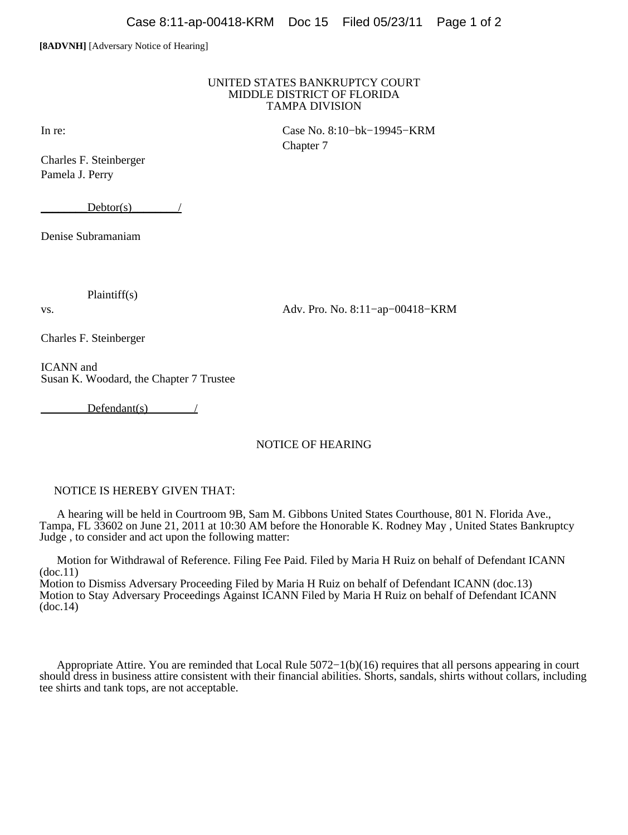## **[8ADVNH]** [Adversary Notice of Hearing]

## UNITED STATES BANKRUPTCY COURT MIDDLE DISTRICT OF FLORIDA TAMPA DIVISION

Charles F. Steinberger Pamela J. Perry

 $Dektor(s)$  /

Denise Subramaniam

Plaintiff(s)

vs. Adv. Pro. No. 8:11−ap−00418−KRM

Charles F. Steinberger

ICANN and Susan K. Woodard, the Chapter 7 Trustee

 $Defendant(s)$  /

## NOTICE OF HEARING

## NOTICE IS HEREBY GIVEN THAT:

 A hearing will be held in Courtroom 9B, Sam M. Gibbons United States Courthouse, 801 N. Florida Ave., Tampa, FL 33602 on June 21, 2011 at 10:30 AM before the Honorable K. Rodney May , United States Bankruptcy Judge , to consider and act upon the following matter:

 Motion for Withdrawal of Reference. Filing Fee Paid. Filed by Maria H Ruiz on behalf of Defendant ICANN (doc.11)

Motion to Dismiss Adversary Proceeding Filed by Maria H Ruiz on behalf of Defendant ICANN (doc.13) Motion to Stay Adversary Proceedings Against ICANN Filed by Maria H Ruiz on behalf of Defendant ICANN (doc.14)

 Appropriate Attire. You are reminded that Local Rule 5072−1(b)(16) requires that all persons appearing in court should dress in business attire consistent with their financial abilities. Shorts, sandals, shirts without collars, including tee shirts and tank tops, are not acceptable.

In re: Case No. 8:10−bk−19945−KRM Chapter 7